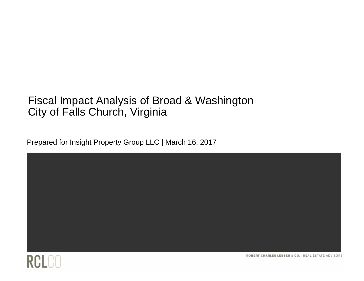### Fiscal Impact Analysis of Broad & Washington City of Falls Church, Virginia

Prepared for Insight Property Group LLC | March 16, 2017





ROBERT CHARLES LESSER & CO. REAL ESTATE ADVISORS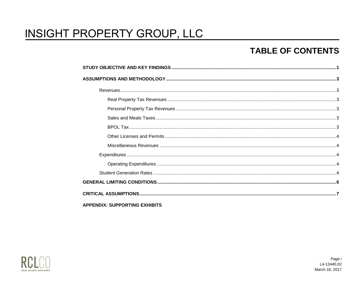### **TABLE OF CONTENTS**

| <b>APPENDIX: SUPPORTING EXHIBITS</b> |  |
|--------------------------------------|--|

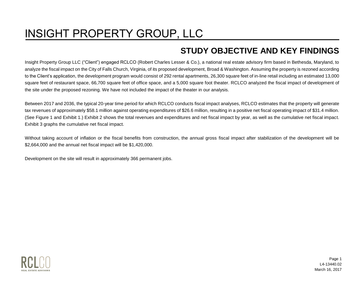### **STUDY OBJECTIVE AND KEY FINDINGS**

<span id="page-2-0"></span>Insight Property Group LLC ("Client") engaged RCLCO (Robert Charles Lesser & Co.), a national real estate advisory firm based in Bethesda, Maryland, to analyze the fiscal impact on the City of Falls Church, Virginia, of its proposed development, Broad & Washington. Assuming the property is rezoned according to the Client's application, the development program would consist of 292 rental apartments, 26,300 square feet of in-line retail including an estimated 13,000 square feet of restaurant space, 66,700 square feet of office space, and a 5,000 square foot theater. RCLCO analyzed the fiscal impact of development of the site under the proposed rezoning. We have not included the impact of the theater in our analysis.

Between 2017 and 2036, the typical 20-year time period for which RCLCO conducts fiscal impact analyses, RCLCO estimates that the property will generate tax revenues of approximately \$58.1 million against operating expenditures of \$26.6 million, resulting in a positive net fiscal operating impact of \$31.4 million. (See Figure 1 and Exhibit 1.) Exhibit 2 shows the total revenues and expenditures and net fiscal impact by year, as well as the cumulative net fiscal impact. Exhibit 3 graphs the cumulative net fiscal impact.

Without taking account of inflation or the fiscal benefits from construction, the annual gross fiscal impact after stabilization of the development will be \$2,664,000 and the annual net fiscal impact will be \$1,420,000.

Development on the site will result in approximately 366 permanent jobs.



Page 1 L4-13440.02 March 16, 2017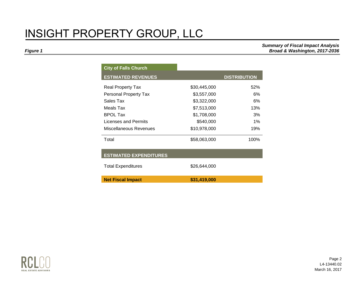*Summary of Fiscal Impact Analysis Figure 1 Broad & Washington, 2017-2036* 

| <b>City of Falls Church</b>   |              |                     |
|-------------------------------|--------------|---------------------|
| <b>ESTIMATED REVENUES</b>     |              | <b>DISTRIBUTION</b> |
| <b>Real Property Tax</b>      | \$30,445,000 | 52%                 |
| Personal Property Tax         | \$3,557,000  | 6%                  |
| Sales Tax                     | \$3,322,000  | 6%                  |
| Meals Tax                     | \$7,513,000  | 13%                 |
| <b>BPOL Tax</b>               | \$1,708,000  | 3%                  |
| Licenses and Permits          | \$540,000    | $1\%$               |
| Miscellaneous Revenues        | \$10,978,000 | 19%                 |
| Total                         | \$58,063,000 | 100%                |
| <b>ESTIMATED EXPENDITURES</b> |              |                     |
| <b>Total Expenditures</b>     | \$26,644,000 |                     |
| <b>Net Fiscal Impact</b>      | \$31,419,000 |                     |

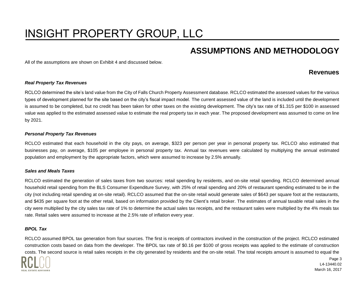### **ASSUMPTIONS AND METHODOLOGY**

<span id="page-4-1"></span><span id="page-4-0"></span>All of the assumptions are shown on Exhibit 4 and discussed below.

#### **Revenues**

#### <span id="page-4-2"></span>*Real Property Tax Revenues*

RCLCO determined the site's land value from the City of Falls Church Property Assessment database. RCLCO estimated the assessed values for the various types of development planned for the site based on the city's fiscal impact model. The current assessed value of the land is included until the development is assumed to be completed, but no credit has been taken for other taxes on the existing development. The city's tax rate of \$1.315 per \$100 in assessed value was applied to the estimated assessed value to estimate the real property tax in each year. The proposed development was assumed to come on line by 2021.

#### <span id="page-4-3"></span>*Personal Property Tax Revenues*

RCLCO estimated that each household in the city pays, on average, \$323 per person per year in personal property tax. RCLCO also estimated that businesses pay, on average, \$105 per employee in personal property tax. Annual tax revenues were calculated by multiplying the annual estimated population and employment by the appropriate factors, which were assumed to increase by 2.5% annually.

#### <span id="page-4-4"></span>*Sales and Meals Taxes*

RCLCO estimated the generation of sales taxes from two sources: retail spending by residents, and on-site retail spending. RCLCO determined annual household retail spending from the BLS Consumer Expenditure Survey, with 25% of retail spending and 20% of restaurant spending estimated to be in the city (not including retail spending at on-site retail). RCLCO assumed that the on-site retail would generate sales of \$643 per square foot at the restaurants, and \$435 per square foot at the other retail, based on information provided by the Client's retail broker. The estimates of annual taxable retail sales in the city were multiplied by the city sales tax rate of 1% to determine the actual sales tax receipts, and the restaurant sales were multiplied by the 4% meals tax rate. Retail sales were assumed to increase at the 2.5% rate of inflation every year.

#### <span id="page-4-5"></span>*BPOL Tax*

RCLCO assumed BPOL tax generation from four sources. The first is receipts of contractors involved in the construction of the project. RCLCO estimated construction costs based on data from the developer. The BPOL tax rate of \$0.16 per \$100 of gross receipts was applied to the estimate of construction costs. The second source is retail sales receipts in the city generated by residents and the on-site retail. The total receipts amount is assumed to equal the

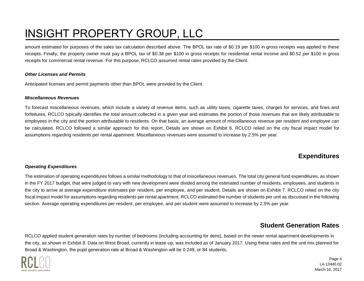amount estimated for purposes of the sales tax calculation described above. The BPOL tax rate of \$0.19 per \$100 in gross receipts was applied to these receipts. Finally, the property owner must pay a BPOL tax of \$0.38 per \$100 in gross receipts for residential rental income and \$0.52 per \$100 in gross receipts for commercial rental revenue. For this purpose, RCLCO assumed rental rates provided by the Client.

#### <span id="page-5-0"></span>*Other Licenses and Permits*

Anticipated licenses and permit payments other than BPOL were provided by the Client.

#### <span id="page-5-1"></span>*Miscellaneous Revenues*

To forecast miscellaneous revenues, which include a variety of revenue items, such as utility taxes, cigarette taxes, charges for services, and fines and forfeitures, RCLCO typically identifies the total amount collected in a given year and estimates the portion of those revenues that are likely attributable to employees in the city and the portion attributable to residents. On that basis, an average amount of miscellaneous revenue per resident and employee can be calculated. RCLCO followed a similar approach for this report. Details are shown on Exhibit 6. RCLCO relied on the city fiscal impact model for assumptions regarding residents per rental apartment. Miscellaneous revenues were assumed to increase by 2.5% per year.

### **Expenditures**

#### <span id="page-5-3"></span><span id="page-5-2"></span>*Operating Expenditures*

The estimation of operating expenditures follows a similar methodology to that of miscellaneous revenues. The total city general fund expenditures, as shown in the FY 2017 budget, that were judged to vary with new development were divided among the estimated number of residents, employees, and students in the city to arrive at average expenditure estimates per resident, per employee, and per student. Details are shown on Exhibit 7. RCLCO relied on the city fiscal impact model for assumptions regarding residents per rental apartment. RCLCO estimated the number of students per unit as discussed in the following section. Average operating expenditures per resident, per employee, and per student were assumed to increase by 2.5% per year.

### **Student Generation Rates**

<span id="page-5-4"></span>RCLCO applied student generation rates by number of bedrooms (including accounting for dens), based on the newer rental apartment developments in the city, as shown in Exhibit 8. Data on West Broad, currently in lease-up, was included as of January 2017. Using these rates and the unit mix planned for Broad & Washington, the pupil generation rate at Broad & Washington will be 0.249, or 84 students.



Page 4 L4-13440.02 March 16, 2017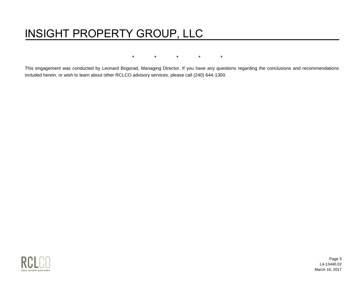\* \* \* \* \*

This engagement was conducted by Leonard Bogorad, Managing Director. If you have any questions regarding the conclusions and recommendations included herein, or wish to learn about other RCLCO advisory services, please call (240) 644-1300.



Page 5 L4-13440.02 March 16, 2017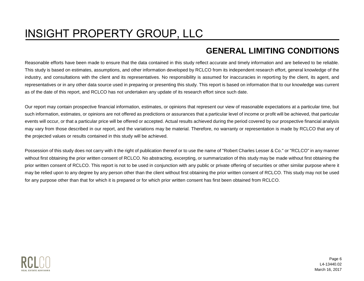### **GENERAL LIMITING CONDITIONS**

<span id="page-7-0"></span>Reasonable efforts have been made to ensure that the data contained in this study reflect accurate and timely information and are believed to be reliable. This study is based on estimates, assumptions, and other information developed by RCLCO from its independent research effort, general knowledge of the industry, and consultations with the client and its representatives. No responsibility is assumed for inaccuracies in reporting by the client, its agent, and representatives or in any other data source used in preparing or presenting this study. This report is based on information that to our knowledge was current as of the date of this report, and RCLCO has not undertaken any update of its research effort since such date.

Our report may contain prospective financial information, estimates, or opinions that represent our view of reasonable expectations at a particular time, but such information, estimates, or opinions are not offered as predictions or assurances that a particular level of income or profit will be achieved, that particular events will occur, or that a particular price will be offered or accepted. Actual results achieved during the period covered by our prospective financial analysis may vary from those described in our report, and the variations may be material. Therefore, no warranty or representation is made by RCLCO that any of the projected values or results contained in this study will be achieved.

Possession of this study does not carry with it the right of publication thereof or to use the name of "Robert Charles Lesser & Co." or "RCLCO" in any manner without first obtaining the prior written consent of RCLCO. No abstracting, excerpting, or summarization of this study may be made without first obtaining the prior written consent of RCLCO. This report is not to be used in conjunction with any public or private offering of securities or other similar purpose where it may be relied upon to any degree by any person other than the client without first obtaining the prior written consent of RCLCO. This study may not be used for any purpose other than that for which it is prepared or for which prior written consent has first been obtained from RCLCO.



Page 6 L4-13440.02 March 16, 2017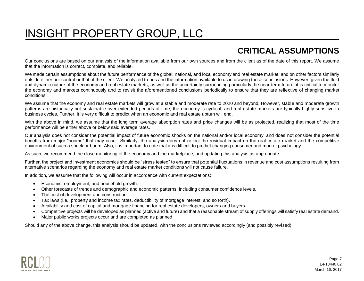### **CRITICAL ASSUMPTIONS**

<span id="page-8-0"></span>Our conclusions are based on our analysis of the information available from our own sources and from the client as of the date of this report. We assume that the information is correct, complete, and reliable.

We made certain assumptions about the future performance of the global, national, and local economy and real estate market, and on other factors similarly outside either our control or that of the client. We analyzed trends and the information available to us in drawing these conclusions. However, given the fluid and dynamic nature of the economy and real estate markets, as well as the uncertainty surrounding particularly the near-term future, it is critical to monitor the economy and markets continuously and to revisit the aforementioned conclusions periodically to ensure that they are reflective of changing market conditions.

We assume that the economy and real estate markets will grow at a stable and moderate rate to 2020 and beyond. However, stable and moderate growth patterns are historically not sustainable over extended periods of time, the economy is cyclical, and real estate markets are typically highly sensitive to business cycles. Further, it is very difficult to predict when an economic and real estate upturn will end.

With the above in mind, we assume that the long term average absorption rates and price changes will be as projected, realizing that most of the time performance will be either above or below said average rates.

Our analysis does not consider the potential impact of future economic shocks on the national and/or local economy, and does not consider the potential benefits from major "booms" that may occur. Similarly, the analysis does not reflect the residual impact on the real estate market and the competitive environment of such a shock or boom. Also, it is important to note that it is difficult to predict changing consumer and market psychology.

As such, we recommend the close monitoring of the economy and the marketplace, and updating this analysis as appropriate.

Further, the project and investment economics should be "stress tested" to ensure that potential fluctuations in revenue and cost assumptions resulting from alternative scenarios regarding the economy and real estate market conditions will not cause failure.

In addition, we assume that the following will occur in accordance with current expectations:

- Economic, employment, and household growth.
- Other forecasts of trends and demographic and economic patterns, including consumer confidence levels.
- The cost of development and construction.
- Tax laws (i.e., property and income tax rates, deductibility of mortgage interest, and so forth).
- Availability and cost of capital and mortgage financing for real estate developers, owners and buyers.
- Competitive projects will be developed as planned (active and future) and that a reasonable stream of supply offerings will satisfy real estate demand.
- Major public works projects occur and are completed as planned.

Should any of the above change, this analysis should be updated, with the conclusions reviewed accordingly (and possibly revised).

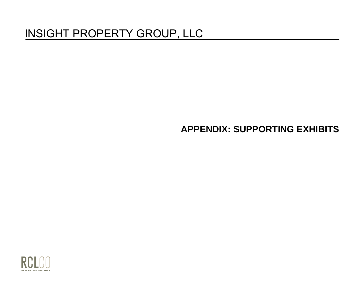### **APPENDIX: SUPPORTING EXHIBITS**

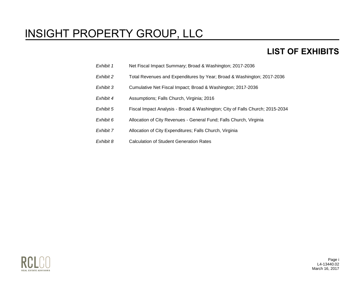### **LIST OF EXHIBITS**

- *Exhibit 1* Net Fiscal Impact Summary; Broad & Washington; 2017-2036
- *Exhibit 2* Total Revenues and Expenditures by Year; Broad & Washington; 2017-2036
- *Exhibit 3* Cumulative Net Fiscal Impact; Broad & Washington; 2017-2036
- *Exhibit 4* Assumptions; Falls Church, Virginia; 2016
- *Exhibit 5* Fiscal Impact Analysis Broad & Washington; City of Falls Church; 2015-2034
- *Exhibit 6* Allocation of City Revenues General Fund; Falls Church, Virginia
- *Exhibit 7* Allocation of City Expenditures; Falls Church, Virginia
- *Exhibit 8* Calculation of Student Generation Rates



Page i L4-13440.02 March 16, 2017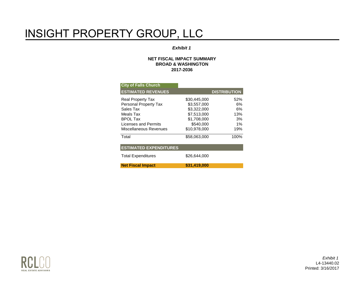#### *Exhibit 1*

#### **NET FISCAL IMPACT SUMMARY BROAD & WASHINGTON 2017-2036**

| <b>City of Falls Church</b>   |              |                     |
|-------------------------------|--------------|---------------------|
| <b>ESTIMATED REVENUES</b>     |              | <b>DISTRIBUTION</b> |
| <b>Real Property Tax</b>      | \$30,445,000 | 52%                 |
| Personal Property Tax         | \$3.557.000  | 6%                  |
| Sales Tax                     | \$3.322.000  | 6%                  |
| Meals Tax                     | \$7,513,000  | 13%                 |
| <b>BPOL Tax</b>               | \$1,708,000  | 3%                  |
| Licenses and Permits          | \$540,000    | $1\%$               |
| Miscellaneous Revenues        | \$10.978.000 | 19%                 |
| Total                         | \$58,063,000 | 100%                |
| <b>ESTIMATED EXPENDITURES</b> |              |                     |
| <b>Total Expenditures</b>     | \$26,644,000 |                     |
| <b>Net Fiscal Impact</b>      | \$31.419.000 |                     |



*Exhibit 1* L4-13440.02 Printed: 3/16/2017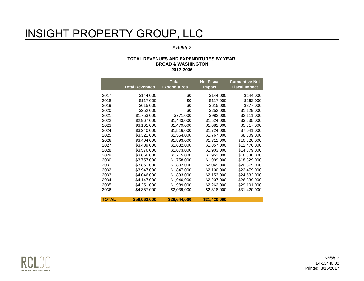#### *Exhibit 2*

#### **TOTAL REVENUES AND EXPENDITURES BY YEAR BROAD & WASHINGTON 2017-2036**

|              | <b>Total Revenues</b> | <b>Total</b><br><b>Expenditures</b> | <b>Net Fiscal</b><br><b>Impact</b> | <b>Cumulative Net</b><br><b>Fiscal Impact</b> |
|--------------|-----------------------|-------------------------------------|------------------------------------|-----------------------------------------------|
|              |                       |                                     |                                    |                                               |
| 2017         | \$144,000             | \$0                                 | \$144,000                          | \$144,000                                     |
| 2018         | \$117,000             | \$0                                 | \$117,000                          | \$262,000                                     |
| 2019         | \$615,000             | \$0                                 | \$615,000                          | \$877,000                                     |
| 2020         | \$252,000             | \$0                                 | \$252,000                          | \$1,129,000                                   |
| 2021         | \$1,753,000           | \$771,000                           | \$982,000                          | \$2,111,000                                   |
| 2022         | \$2,967,000           | \$1,443,000                         | \$1,524,000                        | \$3,635,000                                   |
| 2023         | \$3,161,000           | \$1,479,000                         | \$1,682,000                        | \$5,317,000                                   |
| 2024         | \$3,240,000           | \$1,516,000                         | \$1,724,000                        | \$7,041,000                                   |
| 2025         | \$3,321,000           | \$1,554,000                         | \$1,767,000                        | \$8,809,000                                   |
| 2026         | \$3,404,000           | \$1,593,000                         | \$1,811,000                        | \$10,620,000                                  |
| 2027         | \$3,489,000           | \$1,632,000                         | \$1,857,000                        | \$12,476,000                                  |
| 2028         | \$3,576,000           | \$1,673,000                         | \$1,903,000                        | \$14,379,000                                  |
| 2029         | \$3,666,000           | \$1,715,000                         | \$1,951,000                        | \$16,330,000                                  |
| 2030         | \$3,757,000           | \$1,758,000                         | \$1,999,000                        | \$18,329,000                                  |
| 2031         | \$3,851,000           | \$1,802,000                         | \$2,049,000                        | \$20,379,000                                  |
| 2032         | \$3,947,000           | \$1,847,000                         | \$2,100,000                        | \$22,479,000                                  |
| 2033         | \$4,046,000           | \$1,893,000                         | \$2,153,000                        | \$24,632,000                                  |
| 2034         | \$4,147,000           | \$1,940,000                         | \$2,207,000                        | \$26,839,000                                  |
| 2035         | \$4,251,000           | \$1,989,000                         | \$2,262,000                        | \$29,101,000                                  |
| 2036         | \$4,357,000           | \$2,039,000                         | \$2,318,000                        | \$31,420,000                                  |
|              |                       |                                     |                                    |                                               |
| <b>TOTAL</b> | \$58,063,000          | \$26,644,000                        | \$31,420,000                       |                                               |

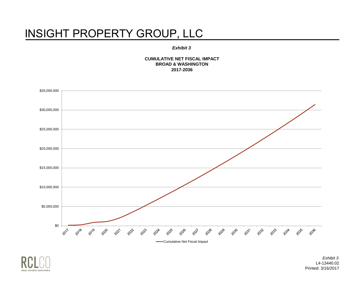#### *Exhibit 3*

**CUMULATIVE NET FISCAL IMPACT BROAD & WASHINGTON 2017-2036**





*Exhibit 3* L4-13440.02 Printed: 3/16/2017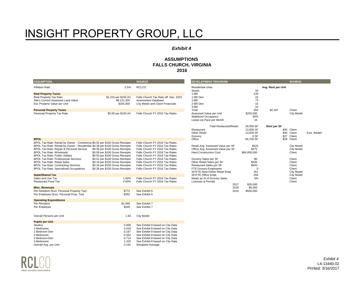#### *Exhibit 4*

#### **ASSUMPTIONS FALLS CHURCH, VIRGINIA 2016**

| <b>ASSUMPTION</b>                                                            |                                 | <b>SOURCE</b>                        | <b>DEVELOPMENT PROGRAM</b>        |              |                    | <b>SOURCE</b>     |               |
|------------------------------------------------------------------------------|---------------------------------|--------------------------------------|-----------------------------------|--------------|--------------------|-------------------|---------------|
| <b>Inflation Rate</b>                                                        | 2.5%                            | <b>RCLCO</b>                         | <b>Residential Units</b>          |              | Avg. Rent per Unit |                   |               |
|                                                                              |                                 |                                      | Studio                            | 33           |                    |                   |               |
| <b>Real Property Taxes</b>                                                   |                                 |                                      | $1-BR$                            | 139          |                    |                   |               |
| Real Property Tax Rate                                                       | \$1.315 per \$100 AV            | Falls Church Tax Rate eff. Dec. 2015 | 1-BR Den                          | 22           |                    |                   |               |
| Site's Current Assessed Land Value                                           | \$8,121,300                     | Assessment Database                  | $2-BR$                            | 73           |                    |                   |               |
| Est. Property Value per Unit                                                 | \$255,000                       | City Model and Client Financials     | 2-BR Den                          | 15           |                    |                   |               |
|                                                                              |                                 |                                      | $3-BR$                            | 10           |                    |                   |               |
| <b>Personal Property Taxes</b>                                               |                                 |                                      | Total                             | 292          | \$2,187            | Client            |               |
| Personal Property Tax Rate                                                   | \$5.00 per \$100 AV             | Falls Church FY 2015 Tax Rates       | Assessed Value per Unit           | \$255,000    |                    | City Model        |               |
|                                                                              |                                 |                                      | Stabilized Occupancy              | 95%          |                    |                   |               |
|                                                                              |                                 |                                      | Lease-Up Pace per Month           | 16           |                    |                   |               |
|                                                                              |                                 |                                      | Total Restaurant/Retail:          | 26,500 SF    | <b>Rent per SF</b> |                   |               |
|                                                                              |                                 |                                      | Restaurant                        | 13,000 SF    |                    | \$45 Client       |               |
|                                                                              |                                 |                                      | <b>Other Retail</b>               | 13,500 SF    |                    | \$40 Client       | Excl. theater |
|                                                                              |                                 |                                      | Grocery                           | 0 SF         |                    | \$27 Client       |               |
| <b>BPOL</b>                                                                  |                                 |                                      | Office                            | 66,700 SF    |                    | \$29 Client       |               |
| BPOL Tax Rate: Rental by Owner - Commercia \$0.52 per \$100 Gross Receipts   |                                 | Falls Church FY 2016 Tax Rates       |                                   |              |                    |                   |               |
| BPOL Tax Rate: Rental by Owner - Residential \$0.38 per \$100 Gross Receipts |                                 | Falls Church FY 2016 Tax Rates       | Retail Avg. Assessed Value per SF | \$520        |                    | City Model        |               |
| BPOL Tax Rate: Repair & Personal Service                                     | \$0.36 per \$100 Gross Receipts | Falls Church FY 2016 Tax Rates       | Office Avg. Assessed Value per SF | \$275        |                    | City Model        |               |
| <b>BPOL Tax Rate: Wholesale</b>                                              | \$0.08 per \$100 Gross Receipts | Falls Church FY 2016 Tax Rates       | <b>Hard Construction Cost</b>     | \$84,000,000 |                    | Client            |               |
| <b>BPOL Tax Rate: Public Utilities</b>                                       | \$0.50 per \$100 Gross Receipts | Falls Church FY 2016 Tax Rates       |                                   |              |                    |                   |               |
| <b>BPOL Tax Rate: Professional Services</b>                                  | \$0.52 per \$100 Gross Receipts | Falls Church FY 2016 Tax Rates       | Grocery Sales per SF              | \$0          |                    | Client            |               |
| <b>BPOL Tax Rate: Retail Sales</b>                                           | \$0.19 per \$100 Gross Receipts | Falls Church FY 2016 Tax Rates       | Other Retail Sales per SF         | \$435        |                    | Client            |               |
| <b>BPOL Tax Rate: Contracting Services</b>                                   | \$0.16 per \$100 Gross Receipts | Falls Church FY 2016 Tax Rates       | Restaurant Sales per SF           | \$643        |                    | Client            |               |
| <b>BPOL Tax Rate: Specialized Occupations</b>                                | \$0.36 per \$100 Gross Receipts | Falls Church FY 2016 Tax Rates       | FTE Grocery Employees             | $\Omega$     |                    | Client            |               |
|                                                                              |                                 |                                      | SF/FTE Rest./Other Retail Empl.   | 251          |                    | City Model        |               |
| <b>State/Shared Tax</b>                                                      |                                 |                                      | SF/FTE Office Empl.               | 256          |                    | <b>City Model</b> |               |
| Sales and Use Tax                                                            | 1.00%                           | Falls Church FY 2016 Tax Rates       | Meals as % of Grocery Sales       | 0%           |                    | Client            |               |
| <b>Restaurant Food Tax</b>                                                   | 4.00%                           | Falls Church FY 2016 Tax Rates       | Licenses & Permits                |              |                    | Client            |               |
|                                                                              |                                 |                                      | 2017                              | \$35,000     |                    |                   |               |
| <b>Misc. Revenues</b>                                                        |                                 |                                      | 2018                              | \$5,000      |                    |                   |               |
| Per Resident (Excl. Personal Property Tax)                                   | \$772                           | See Exhibit 6                        | 2019                              | \$500,000    |                    |                   |               |
| Per Employee (Excl. Personal Prop. Tax)                                      | \$392                           | See Exhibit 6                        |                                   |              |                    |                   |               |
| <b>Operating Expenditures</b>                                                |                                 |                                      |                                   |              |                    |                   |               |
| Per Resident                                                                 | \$1,096                         | See Exhibit 7                        |                                   |              |                    |                   |               |
| Per Employee                                                                 | \$340                           | See Exhibit 7                        |                                   |              |                    |                   |               |
|                                                                              |                                 |                                      |                                   |              |                    |                   |               |
|                                                                              |                                 |                                      |                                   |              |                    |                   |               |
| Overall Persons per Unit                                                     | 1.64                            | <b>City Model</b>                    |                                   |              |                    |                   |               |
| <b>Pupils per Unit</b>                                                       |                                 |                                      |                                   |              |                    |                   |               |
| <b>Studios</b>                                                               | 0.000                           | See Exhibit 8 based on City Data     |                                   |              |                    |                   |               |
| 1-Bedrooms                                                                   | 0.019                           | See Exhibit 8 based on City Data     |                                   |              |                    |                   |               |
| 1-Bedroom Den                                                                | 0.167                           | See Exhibit 8 based on City Data     |                                   |              |                    |                   |               |
| 2-Bedrooms                                                                   | 0.352                           | See Exhibit 8 based on City Data     |                                   |              |                    |                   |               |
| 2-Bedroom-Den                                                                | 0.714                           | See Exhibit 8 based on City Data     |                                   |              |                    |                   |               |
| 3-Bedrooms                                                                   | 1.320                           | See Exhibit 8 based on City Data     |                                   |              |                    |                   |               |
| Overall Avg. per Unit                                                        | 0.191                           | <b>Weighted Average</b>              |                                   |              |                    |                   |               |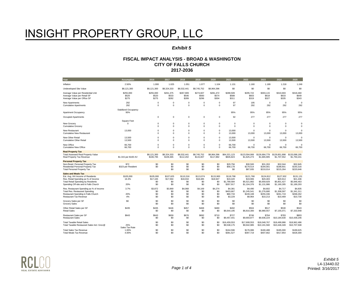#### *Exhibit 5*

| Year                                                                                                                                                                                        | <b>Assumption</b>                  | 2016                                | 2017                                | 2018                                | 2019                                | 2020                                | 2021                                              | 2022                                                | 2023                                                | 2024                                                | 2025                                                |
|---------------------------------------------------------------------------------------------------------------------------------------------------------------------------------------------|------------------------------------|-------------------------------------|-------------------------------------|-------------------------------------|-------------------------------------|-------------------------------------|---------------------------------------------------|-----------------------------------------------------|-----------------------------------------------------|-----------------------------------------------------|-----------------------------------------------------|
| Inflation                                                                                                                                                                                   | 2.50%                              | 1.000                               | 1.025                               | 1.051                               | 1.077                               | 1.104                               | 1.131                                             | 1.160                                               | 1.189                                               | 1.218                                               | 1.249                                               |
| Undeveloped Site Value                                                                                                                                                                      | \$8,121,300                        | \$8,121,300                         | \$8,324,333                         | \$8,532,441                         | \$8,745,752                         | \$8,964,396                         | \$0                                               | \$0                                                 | \$0                                                 | \$0                                                 | \$0                                                 |
| Average Value per Residential Unit                                                                                                                                                          | \$255,000                          | \$255,000                           | \$261,375                           | \$267.909                           | \$274,607                           | \$281,472                           | \$288,509                                         | \$295.722                                           | \$303,115                                           | \$310,693                                           | \$318,460                                           |
| Average Value per Retail SF                                                                                                                                                                 | \$520                              | \$520                               | \$533                               | \$546                               | \$560                               | \$574                               | \$588                                             | \$603                                               | \$618                                               | \$633                                               | \$649                                               |
| Average Value per Office SF                                                                                                                                                                 | \$275                              | \$275                               | \$282                               | \$289                               | \$296                               | \$304                               | \$311                                             | \$319                                               | \$327                                               | \$335                                               | \$343                                               |
| New Apartments                                                                                                                                                                              | 292                                | $\Omega$                            | $\Omega$                            | $\Omega$                            | $\Omega$                            | $\Omega$                            | 97                                                | 195                                                 | $\mathbf 0$                                         | $\mathbf 0$                                         | $\mathbf 0$                                         |
| <b>Cumulative Apartments</b>                                                                                                                                                                | 292                                | $\Omega$                            | $\mathbf 0$                         | $\Omega$                            | $\Omega$                            | $\Omega$                            | 97                                                | 292                                                 | 292                                                 | 292                                                 | 292                                                 |
| Apartment Occupancy                                                                                                                                                                         | <b>Stabilized Occupancy</b><br>95% |                                     |                                     |                                     |                                     |                                     | 95%                                               | 95%                                                 | 95%                                                 | 95%                                                 | 95%                                                 |
| Occupied Apartments                                                                                                                                                                         |                                    | $\Omega$                            | $\mathbf 0$                         | $\Omega$                            | $\Omega$                            | $\Omega$                            | 92                                                | 277                                                 | 277                                                 | 277                                                 | 277                                                 |
| New Grocery                                                                                                                                                                                 | <b>Square Feet</b>                 | $\Omega$                            | $\mathbf 0$                         | $\Omega$                            | $\Omega$                            | $\mathbf 0$                         | $\Omega$                                          | $\Omega$                                            | $\mathbf 0$                                         | $\mathbf 0$                                         | $\Omega$                                            |
| <b>Cumulative Grocery</b>                                                                                                                                                                   | $\Omega$                           | $\Omega$                            | $\Omega$                            | $\Omega$                            | $\Omega$                            | $\mathbf 0$                         | $\Omega$                                          | $\Omega$                                            | $\mathbf 0$                                         | $\Omega$                                            | $\mathbf 0$                                         |
| New Restaurant                                                                                                                                                                              | 13,000                             | $\Omega$                            | $\Omega$                            | $\Omega$                            | $\Omega$                            | $\Omega$                            | 13,000                                            | $\Omega$                                            | $^{\circ}$                                          | $\Omega$                                            | $\Omega$                                            |
| <b>Cumulative New Restaurant</b>                                                                                                                                                            |                                    | $\Omega$                            | $\Omega$                            | $\Omega$                            | $\Omega$                            | $\Omega$                            | 13,000                                            | 13,000                                              | 13,000                                              | 13,000                                              | 13,000                                              |
| New Other Retail                                                                                                                                                                            | 13,500                             | $\Omega$                            | $\Omega$                            | $\Omega$                            | $\Omega$                            | $\mathbf 0$                         | 13,500                                            | $\mathbf 0$                                         | $^{\circ}$                                          | $\mathbf 0$                                         | $\mathbf 0$                                         |
| <b>Cumulative Other Retail</b>                                                                                                                                                              | 13,500                             | $\Omega$                            | $\mathbf 0$                         | $\Omega$                            | $\Omega$                            | 0                                   | 13,500                                            | 13,500                                              | 13,500                                              | 13,500                                              | 13,500                                              |
| New Office                                                                                                                                                                                  | 66,700                             | $\Omega$                            | $\mathbf 0$                         | $\Omega$                            | $\Omega$                            | $\mathsf 0$                         | 66,700                                            | $\Omega$                                            | 0                                                   | $\Omega$                                            | $\Omega$                                            |
| <b>Cumulative New Office</b>                                                                                                                                                                | 66,700                             | $\Omega$                            | $\mathbf 0$                         | $\Omega$                            | $\Omega$                            | $\mathbf 0$                         | 66,700                                            | 66,700                                              | 66,700                                              | 66,700                                              | 66,700                                              |
| <b>Real Property Tax</b><br>Total Assessed Real Property Value<br>Real Property Tax Revenue                                                                                                 | \$1.315 per \$100 AV               | \$8,121,300<br>\$106,795            | \$8,324,333<br>\$109,465            | \$8,532,441<br>\$112,202            | \$8,745,752<br>\$115,007            | \$8,964,396<br>\$117,882            | \$64,321,123<br>\$845,823                         | \$123,594,906<br>\$1,625,273                        | \$126,684,779<br>\$1,665,905                        | \$129,851,898<br>\$1,707,552                        | \$133,098,195<br>\$1,750,241                        |
| <b>Personal Property Tax</b><br>Non-Resid, Personal Property Tax<br>Residential Personal Property Tax<br><b>Total Personal Property Tax</b>                                                 | \$72<br>\$323 per Resident         | \$0<br>\$0                          | \$0<br>\$0<br>\$0                   | \$0<br>\$0<br>\$0                   | \$0<br>\$0<br>\$0                   | \$0<br>\$0<br>\$0                   | \$29,756<br>\$58,178<br>\$0                       | \$30,500<br>\$179,514<br>\$87,935                   | \$31.263<br>\$184,001<br>\$210,014                  | \$32.044<br>\$188,601<br>\$215,264                  | \$32.845<br>\$193,316<br>\$220,646                  |
| <b>Sales and Meals Tax</b><br>Est. Avg. HH Income of Residents<br>Res. Retail Spending as % of Income<br><b>Total Retail Spending by Residents</b><br>Spending Off-site and in Falls Church | \$105,000<br>16.3%<br>20%          | \$105,000<br>\$17,165<br>\$0<br>\$0 | \$107,625<br>\$17,594<br>\$0<br>\$0 | \$110,316<br>\$18,034<br>\$0<br>\$0 | \$113,074<br>\$18,485<br>\$0<br>\$0 | \$115,900<br>\$18,947<br>\$0<br>\$0 | \$118,798<br>\$19,420<br>\$1,789,584<br>\$357,917 | \$121,768<br>\$19,906<br>\$5,521,882<br>\$1,104,376 | \$124,812<br>\$20,403<br>\$5,659,929<br>\$1,131,986 | \$127,932<br>\$20,914<br>\$5,801,427<br>\$1,160,285 | \$131.131<br>\$21.436<br>\$5,946,463<br>\$1,189,293 |
| Res. Restaurant Spending as % of Income<br>Total Res. Restaurant Spending<br>Restaurant Spending in Falls Church<br><b>Restaurant Tax Revenue</b>                                           | 3.7%<br>20%<br>4%                  | \$3,872<br>\$0<br>\$0<br>\$0        | \$3,969<br>\$0<br>\$0<br>\$0        | \$4,068<br>\$0<br>\$0<br>\$0        | \$4,169<br>\$0<br>\$0<br>\$0        | \$4,274<br>\$0<br>\$0<br>\$0        | \$4,381<br>\$403,667<br>\$80,733<br>\$3,229       | \$4,490<br>\$1,245,541<br>\$249,108<br>\$9,964      | \$4,602<br>\$1,276,680<br>\$255,336<br>\$10,213     | \$4,717<br>\$1,308,597<br>\$261,719<br>\$10,469     | \$4,835<br>\$1,341,311<br>\$268.262<br>\$10,730     |
| Grocery Sales per SF                                                                                                                                                                        | \$0                                | \$0                                 | \$0                                 | \$0                                 | \$0                                 | \$0                                 | \$0                                               | \$0                                                 | \$0                                                 | \$0                                                 | \$0                                                 |
| <b>Grocery Sales</b>                                                                                                                                                                        |                                    | \$0                                 | \$0                                 | \$0                                 | \$0                                 | \$0                                 | \$0                                               | \$0                                                 | \$0                                                 | \$0                                                 | \$0                                                 |
| Other Retail Sales per SF                                                                                                                                                                   | \$435                              | \$435                               | \$446                               | \$457                               | \$468                               | \$480                               | \$492                                             | \$504                                               | \$517                                               | \$530                                               | \$543                                               |
| <b>Retail Sales</b>                                                                                                                                                                         |                                    | \$0                                 | \$0                                 | \$0                                 | \$0                                 | \$0                                 | \$6,644,195                                       | \$6,810,300                                         | \$6,980,557                                         | \$7,155,071                                         | \$7,333,948                                         |
| Restaurant Sales per SF                                                                                                                                                                     | \$643                              | \$643                               | \$659                               | \$676                               | \$692                               | \$710                               | \$727                                             | \$746                                               | \$764                                               | \$783                                               | \$803                                               |
| <b>Restaurant Sales</b>                                                                                                                                                                     |                                    | \$0                                 | \$0                                 | \$0                                 | \$0                                 | \$0                                 | \$9,457,441                                       | \$9,693,877                                         | \$9,936,224                                         | \$10,184,630                                        | \$10,439,246                                        |
| <b>Total Taxable Retail Sales</b>                                                                                                                                                           | 25%                                | \$0                                 | \$0                                 | \$0                                 | \$0                                 | \$0                                 | \$16,459,553                                      | \$17,608,553                                        | \$18,048,767                                        | \$18,499,986                                        | \$18,962,486                                        |
| Total Taxable Restaurant Sales Incl. Groc@                                                                                                                                                  | Sales Tax Rate                     | \$0                                 | \$0                                 | \$0                                 | \$0                                 | \$0                                 | \$9,538,175                                       | \$9,942,985                                         | \$10,191,560                                        | \$10,446,349                                        | \$10,707,508                                        |
| <b>Total Sales Tax Revenue</b>                                                                                                                                                              | 1.00%                              | \$0                                 | \$0                                 | \$0                                 | \$0                                 | \$0                                 | \$164,596                                         | \$176,086                                           | \$180,488                                           | \$185,000                                           | \$189,625                                           |
| <b>Total Meals Tax Revenue</b>                                                                                                                                                              | 4.00%                              | \$0                                 | \$0                                 | \$0                                 | \$0                                 | \$0                                 | \$381,527                                         | \$397,719                                           | \$407.662                                           | \$417,854                                           | \$428,300                                           |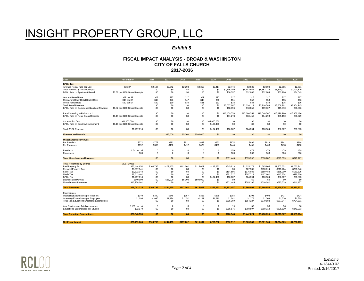#### *Exhibit 5*

| Year                                                                   | <b>Assumption</b>               | 2016         | 2017         | 2018            | 2019               | 2020         | 2021                    | 2022                    | 2023                    | 2024                    | 2025                   |
|------------------------------------------------------------------------|---------------------------------|--------------|--------------|-----------------|--------------------|--------------|-------------------------|-------------------------|-------------------------|-------------------------|------------------------|
| <b>BPOL Tax</b>                                                        |                                 |              |              |                 |                    |              |                         |                         |                         |                         |                        |
| Average Rental Rate per Unit                                           | \$2,187                         | \$2,187      | \$2.242      | \$2,298         | \$2,355            | \$2,414      | \$2,474                 | \$2,536                 | \$2,600                 | \$2,665                 | \$2.731<br>\$9.091.829 |
| Total Revenue (Gross Receipts)<br><b>BPOL Rate on Apartment Rental</b> | \$0.38 per \$100 Gross Receipts | \$0<br>\$0   | \$0<br>\$0   | \$0<br>\$0      | \$0<br>\$0         | \$0<br>\$0   | \$2,736,180<br>\$10,397 | \$8,442,667<br>\$32,082 | \$8,653,734<br>\$32,884 | \$8,870,077<br>\$33,706 | \$34,549               |
|                                                                        |                                 |              |              |                 |                    |              |                         |                         |                         |                         |                        |
| Grocery Rental Rate<br>Restaurant/Other Retail Rental Rate             | \$27 per SF<br>\$45 per SF      | \$27<br>\$45 | \$27<br>\$46 | \$27<br>\$47    | \$27<br>\$48       | \$27<br>\$50 | \$27<br>\$51            | \$27<br>\$52            | \$27<br>\$53            | \$27<br>\$55            | \$27<br>\$56           |
| Office Rental Rate                                                     | \$29 per SF                     | \$29         | \$30         | \$30            | \$31               | \$32         | \$33                    | \$34                    | \$34                    | \$35                    | \$36                   |
| <b>Total Rental Revenue</b>                                            |                                 | \$0          | \$0          | \$0             | \$0                | \$0          | \$3,537,687             | \$3,626,129             | \$3,716,783             | \$3,809,702             | \$3,904,945            |
| BPOL Rate on Commercial Landlord Revenue                               | \$0.52 per \$100 Gross Receipts | \$0          | \$0          | \$0             | \$0                | \$0          | \$18,396                | \$18,856                | \$19,327                | \$19,810                | \$20,306               |
| Retail Spending in Falls Church                                        |                                 | \$0          | \$0          | \$0             | \$0                | \$0          | \$16,459,553            | \$17,608,553            | \$18,048,767            | \$18,499,986            | \$18,962,486           |
| <b>BPOL Rate on Retail Gross Receipts</b>                              | \$0.19 per \$100 Gross Receipts | \$0          | \$0          | \$0             | \$0                | \$0          | \$31,273                | \$33,456                | \$34,293                | \$35,150                | \$36,029               |
| <b>Construction Cost</b>                                               | \$84,000,000                    | \$0          | \$0          | \$0             | \$0                | \$84,000,000 | \$0                     | \$0                     | \$0                     | \$0                     | \$0                    |
| BPOL Rate on Building/Development                                      | \$0.16 per \$100 Gross Receipts | \$0          | \$0          | \$0             | \$0                | \$134,400    | \$0                     | \$0                     | \$0                     | \$0                     | \$0                    |
|                                                                        |                                 |              |              |                 |                    |              |                         |                         |                         |                         |                        |
| <b>Total BPOL Revenue</b>                                              | \$1,707,818                     | \$0          | \$0          | \$0             | \$0                | \$134,400    | \$60,067                | \$84,394                | \$86,504                | \$88,667                | \$90,883               |
| <b>Licenses and Permits</b>                                            |                                 |              | \$35,000     | \$5,000         | \$500,000          | \$0          | \$0                     | \$0                     | \$0                     | \$0                     | \$0                    |
| <b>Miscellaneous Revenues</b>                                          |                                 |              |              |                 |                    |              |                         |                         |                         |                         |                        |
| Per Resident                                                           | \$772                           | \$772        | \$792        | \$811           | \$832              | \$852        | \$874                   | \$896                   | \$918                   | \$941                   | \$964                  |
| Per Employee                                                           | \$392                           | \$392        | \$402        | \$412           | \$422              | \$433        | \$444                   | \$455                   | \$466                   | \$478                   | \$490                  |
| Residents                                                              | 1.64 per Unit                   | $\Omega$     | $\Omega$     | $\Omega$        | $\Omega$           | $\Omega$     | 159                     | 479                     | 479                     | 479                     | 479                    |
| Employees                                                              | 366                             | 0            | $\Omega$     | 0               | $\Omega$           | 0            | 366                     | 366                     | 366                     | 366                     | 366                    |
| <b>Total Miscellaneous Revenues</b>                                    |                                 | \$0          | \$0          | \$0             | \$0                | \$0          | \$301,445               | \$595,397               | \$610,282               | \$625,539               | \$641,177              |
|                                                                        |                                 |              |              |                 |                    |              |                         |                         |                         |                         |                        |
| <b>Total Revenues by Source</b>                                        | $(2017 - 2036)$                 |              |              |                 |                    |              |                         |                         |                         |                         |                        |
| Real Property Tax                                                      | \$30,444,654                    | \$106.795    | \$109,465    | \$112,202       | \$115,007          | \$117,882    | \$845,823               | \$1,625,273             | \$1,665,905             | \$1,707,552             | \$1,750,241            |
| Personal Property Tax<br>Sales Tax                                     | \$3,557,141<br>\$3.322.148      | \$0<br>\$0   | \$0<br>\$0   | \$0<br>\$0      | \$0<br>\$0         | \$0<br>\$0   | \$0<br>\$164.596        | \$87,935<br>\$176,086   | \$210,014<br>\$180,488  | \$215,264<br>\$185,000  | \$220,646<br>\$189,625 |
| Meals Tax                                                              | \$7,513,402                     | \$0          | \$0          | \$0             | \$0                | \$0          | \$381,527               | \$397,719               | \$407,662               | \$417,854               | \$428,300              |
| <b>BPOL Tax</b>                                                        | \$1,707,818                     | \$0          | \$0          | \$0             | \$0                | \$134,400    | \$60,067                | \$84,394                | \$86,504                | \$88,667                | \$90,883               |
| Licenses and Permits                                                   | \$540,000                       | \$0          | \$35,000     | \$5,000         | \$500,000          | \$0          | \$0                     | \$0                     | \$0                     | \$0                     | \$0                    |
| Miscellaneous Revenues                                                 | \$10,978,061                    | \$0          | \$0          | \$0             | \$0                | \$0          | \$301,445               | \$595,397               | \$610,282               | \$625,539               | \$641.177              |
| <b>Total Revenues</b>                                                  | \$58,063,225                    | \$106.795    | \$144.465    | \$117.202       | \$615,007          | \$252.282    | \$1.753.457             | \$2.966.804             | \$3.160.855             | \$3.239.876             | \$3,320,873            |
|                                                                        |                                 |              |              |                 |                    |              |                         |                         |                         |                         |                        |
| Expenditures<br>Operating Expenditures per Resident                    | \$340                           | \$340        | \$348        | \$357           | \$366              | \$375        | \$384                   | \$394                   | \$404                   | \$414                   | \$424                  |
| Operating Expenditures per Employee                                    | \$1,096                         | \$1,096      | \$1,124      | \$1,152         | \$1,181            | \$1,210      | \$1,241                 | \$1,272                 | \$1,303                 | \$1,336                 | \$1,369                |
| <b>Total Non-Educational Operating Expenditures</b>                    |                                 | \$0          | \$0          | \$0             | \$0                | \$0          | \$515,369               | \$654,227               | \$670,583               | \$687,347               | \$704,531              |
|                                                                        |                                 |              |              |                 |                    |              |                         |                         |                         |                         |                        |
| Avg. Students per Total Apartments                                     | 0.191 per Unit                  | $\Omega$     | $\mathbf 0$  | $\Omega$<br>\$0 | $\mathbf 0$<br>\$0 | 0            | 19                      | 56                      | 56                      | 56                      | 56                     |
| <b>Educational Expenditures per Student</b>                            | \$12,170                        | \$0          | \$0          |                 |                    | \$0          | \$255,576               | \$788,597               | \$808,312               | \$828,520               | \$849,233              |
| <b>Total Operating Expenditures</b>                                    | \$26,643,559                    | \$0          | \$0          | \$0             | \$0                | \$0          | \$770.945               | \$1,442.824             | \$1,478,895             | \$1.515.867             | \$1,553,764            |
|                                                                        |                                 |              |              |                 |                    |              |                         |                         |                         |                         |                        |
| <b>Net Fiscal Impact</b>                                               | \$31,419,666                    | \$106.795    | \$144.465    | \$117.202       | \$615,007          | \$252.282    | \$982.512               | \$1.523.980             | \$1,681.960             | \$1.724.009             | \$1.767.109            |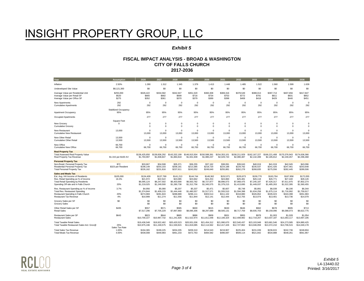#### *Exhibit 5*

| Year                                                                                                                                                                                        | <b>Assumption</b>           | 2026                                                | 2027                                                | 2028                                                | 2029                                                | 2030                                                | 2031                                                | 2032                                                | 2033                                                | 2034                                                | 2035                                                | 2036                                                |
|---------------------------------------------------------------------------------------------------------------------------------------------------------------------------------------------|-----------------------------|-----------------------------------------------------|-----------------------------------------------------|-----------------------------------------------------|-----------------------------------------------------|-----------------------------------------------------|-----------------------------------------------------|-----------------------------------------------------|-----------------------------------------------------|-----------------------------------------------------|-----------------------------------------------------|-----------------------------------------------------|
| Inflation                                                                                                                                                                                   | 2.50%                       | 1.280                                               | 1.312                                               | 1.345                                               | 1.379                                               | 1.413                                               | 1.448                                               | 1.485                                               | 1.522                                               | 1.560                                               | 1.599                                               | 1.639                                               |
| <b>Undeveloped Site Value</b>                                                                                                                                                               | \$8,121,300                 | \$0                                                 | \$0                                                 | \$0                                                 | \$0                                                 | \$0                                                 | \$0                                                 | \$0                                                 | \$0                                                 | \$0                                                 | \$0                                                 | \$0                                                 |
| Average Value per Residential Unit                                                                                                                                                          | \$255,000                   | \$326.422                                           | \$334.582                                           | \$342.947                                           | \$351,520                                           | \$360.308                                           | \$369,316                                           | \$378.549                                           | \$388,013                                           | \$397.713                                           | \$407.656                                           | \$417,847                                           |
| Average Value per Retail SF                                                                                                                                                                 | \$520                       | \$665                                               | \$682                                               | \$699                                               | \$716                                               | \$734                                               | \$753                                               | \$772                                               | \$791                                               | \$811                                               | \$831                                               | \$852                                               |
| Average Value per Office SF                                                                                                                                                                 | \$275                       | \$352                                               | \$361                                               | \$370                                               | \$379                                               | \$389                                               | \$398                                               | \$408                                               | \$418                                               | \$429                                               | \$440                                               | \$451                                               |
| New Apartments                                                                                                                                                                              | 292                         | $\Omega$                                            | $\mathbf 0$                                         | $\Omega$                                            | $\Omega$                                            | $\Omega$                                            | $\Omega$                                            | $\Omega$                                            | $\Omega$                                            | $\Omega$                                            | $\Omega$                                            | $\Omega$                                            |
| <b>Cumulative Apartments</b>                                                                                                                                                                | 292                         | 292                                                 | 292                                                 | 292                                                 | 292                                                 | 292                                                 | 292                                                 | 292                                                 | 292                                                 | 292                                                 | 292                                                 | 292                                                 |
| <b>Apartment Occupancy</b>                                                                                                                                                                  | Stabilized Occupancy<br>95% | 95%                                                 | 95%                                                 | 95%                                                 | 95%                                                 | 95%                                                 | 95%                                                 | 95%                                                 | 95%                                                 | 95%                                                 | 95%                                                 | 95%                                                 |
| Occupied Apartments                                                                                                                                                                         |                             | 277                                                 | 277                                                 | 277                                                 | 277                                                 | 277                                                 | 277                                                 | 277                                                 | 277                                                 | 277                                                 | 277                                                 | 277                                                 |
| New Grocery                                                                                                                                                                                 | Square Feet                 | $\Omega$                                            | $\mathbf 0$                                         | $\Omega$                                            | $\Omega$                                            | 0                                                   | $\Omega$                                            | $\circ$                                             | $\Omega$                                            | $\Omega$                                            | 0                                                   | $^{\circ}$                                          |
| <b>Cumulative Grocery</b>                                                                                                                                                                   | $\Omega$                    | $\Omega$                                            | $\mathbf 0$                                         | $\Omega$                                            | $\Omega$                                            | $\mathbf 0$                                         | $\Omega$                                            | $\Omega$                                            | $\Omega$                                            | $\Omega$                                            | $\mathbf 0$                                         | $\Omega$                                            |
| New Restaurant                                                                                                                                                                              | 13,000                      | $\Omega$                                            | $^{\circ}$                                          | $\mathbf 0$                                         | $\Omega$                                            | 0                                                   | $\Omega$                                            | $\Omega$                                            | $\Omega$                                            | $\Omega$                                            | $\mathbf 0$                                         | $\Omega$                                            |
| <b>Cumulative New Restaurant</b>                                                                                                                                                            |                             | 13,000                                              | 13,000                                              | 13,000                                              | 13,000                                              | 13,000                                              | 13,000                                              | 13,000                                              | 13,000                                              | 13,000                                              | 13,000                                              | 13,000                                              |
| New Other Retail                                                                                                                                                                            | 13,500                      | $\Omega$                                            | $\mathbf 0$                                         | $\mathbf 0$                                         | $\Omega$                                            | 0                                                   | $\Omega$                                            | $\circ$                                             | $\Omega$                                            | $\Omega$                                            | $\mathbf 0$                                         | $\Omega$                                            |
| <b>Cumulative Other Retail</b>                                                                                                                                                              | 13,500                      | 13,500                                              | 13,500                                              | 13,500                                              | 13,500                                              | 13,500                                              | 13,500                                              | 13,500                                              | 13,500                                              | 13,500                                              | 13,500                                              | 13,500                                              |
| New Office                                                                                                                                                                                  | 66,700                      | $\Omega$                                            | $\mathbf 0$                                         | $\mathbf 0$                                         | $\Omega$                                            | $\mathbf 0$                                         | $\Omega$                                            | $\Omega$                                            | $\Omega$                                            | $\Omega$                                            | $\mathbf 0$                                         | $\Omega$                                            |
| <b>Cumulative New Office</b>                                                                                                                                                                | 66,700                      | 66,700                                              | 66,700                                              | 66,700                                              | 66,700                                              | 66,700                                              | 66,700                                              | 66,700                                              | 66,700                                              | 66,700                                              | 66,700                                              | 66.700                                              |
| <b>Real Property Tax</b><br><b>Total Assessed Real Property Value</b><br>Real Property Tax Revenue                                                                                          | \$1.315 per \$100 AV        | \$136,425,650<br>\$1,793,997                        | \$139,836,292<br>\$1,838,847                        | \$143,332,199<br>\$1,884,818                        | \$146,915,504<br>\$1,931,939                        | \$150,588,391<br>\$1,980,237                        | \$154,353,101<br>\$2,029,743                        | \$158,211,929<br>\$2,080,487                        | \$162,167,227<br>\$2,132,499                        | \$166,221,408<br>\$2,185,812                        | \$170,376,943<br>\$2,240,457                        | \$174,636,366<br>\$2,296,468                        |
| <b>Personal Property Tax</b><br>Non-Resid, Personal Property Tax<br>Residential Personal Property Tax<br><b>Total Personal Property Tax</b>                                                 | \$72<br>\$323 per Resident  | \$33.667<br>\$198,149<br>\$226,162                  | \$34,508<br>\$203,103<br>\$231,816                  | \$35,371<br>\$208,181<br>\$237,611                  | \$36,255<br>\$213,385<br>\$243,552                  | \$37.162<br>\$218,720<br>\$249,640                  | \$38,091<br>\$224,188<br>\$255,881                  | \$39,043<br>\$229,792<br>\$262,278                  | \$40,019<br>\$235,537<br>\$268,835                  | \$41,019<br>\$241,426<br>\$275,556                  | \$42,045<br>\$247,461<br>\$282,445                  | \$43,096<br>\$253,648<br>\$289,506                  |
| <b>Sales and Meals Tax</b><br>Est. Avg. HH Income of Residents<br>Res. Retail Spending as % of Income<br><b>Total Retail Spending by Residents</b><br>Spending Off-site and in Falls Church | \$105,000<br>16.3%<br>20%   | \$134.409<br>\$21.972<br>\$6.095.124<br>\$1,219,025 | \$137,769<br>\$22,522<br>\$6,247,502<br>\$1,249,500 | \$141.213<br>\$23,085<br>\$6,403,690<br>\$1,280,738 | \$144,744<br>\$23,662<br>\$6,563,782<br>\$1,312,756 | \$148,362<br>\$24,253<br>\$6,727,877<br>\$1,345,575 | \$152,071<br>\$24,860<br>\$6,896,073<br>\$1,379,215 | \$155,873<br>\$25,481<br>\$7,068,475<br>\$1,413,695 | \$159,770<br>\$26.118<br>\$7,245,187<br>\$1,449,037 | \$163,764<br>\$26,771<br>\$7,426,317<br>\$1,485,263 | \$167,858<br>\$27,440<br>\$7,611,975<br>\$1,522,395 | \$172.055<br>\$28,126<br>\$7,802,274<br>\$1,560,455 |
| Res. Restaurant Spending as % of Income<br>Total Res. Restaurant Spending<br>Restaurant Spending in Falls Church<br><b>Restaurant Tax Revenue</b>                                           | 3.7%<br>20%<br>4%           | \$4,956<br>\$1,374,844<br>\$274,969<br>\$10,999     | \$5,080<br>\$1,409,215<br>\$281,843<br>\$11,274     | \$5,207<br>\$1,444,446<br>\$288,889<br>\$11,556     | \$5,337<br>\$1,480,557<br>\$296,111<br>\$11,844     | \$5,471<br>\$1,517.571<br>\$303,514<br>\$12,141     | \$5,607<br>\$1,555,510<br>\$311,102<br>\$12,444     | \$5,748<br>\$1,594,398<br>\$318,880<br>\$12,755     | \$5,891<br>\$1,634,258<br>\$326,852<br>\$13,074     | \$6,039<br>\$1,675,114<br>\$335,023<br>\$13,401     | \$6,190<br>\$1,716.992<br>\$343,398<br>\$13,736     | \$6,344<br>\$1,759,917<br>\$351,983<br>\$14,079     |
| Grocery Sales per SF                                                                                                                                                                        | \$0                         | \$0                                                 | \$0                                                 | \$0                                                 | \$0                                                 | \$0                                                 | \$0                                                 | \$0                                                 | \$0                                                 | \$0                                                 | \$0                                                 | \$0                                                 |
| <b>Grocery Sales</b>                                                                                                                                                                        |                             | \$0                                                 | \$0                                                 | \$0                                                 | \$0                                                 | \$0                                                 | \$0                                                 | \$0                                                 | \$0                                                 | \$0                                                 | \$0                                                 | \$0                                                 |
| Other Retail Sales per SF                                                                                                                                                                   | \$435                       | \$557                                               | \$571                                               | \$585                                               | \$600                                               | \$615                                               | \$630                                               | \$646                                               | \$662                                               | \$678                                               | \$695                                               | \$713                                               |
| <b>Retail Sales</b>                                                                                                                                                                         |                             | \$7,517,296                                         | \$7,705,229                                         | \$7,897,860                                         | \$8,095,306                                         | \$8,297,689                                         | \$8,505,131                                         | \$8,717,759                                         | \$8,935,703                                         | \$9,159,096                                         | \$9,388,073                                         | \$9,622,775                                         |
| Restaurant Sales per SF                                                                                                                                                                     | \$643                       | \$823                                               | \$844                                               | \$865                                               | \$886                                               | \$909                                               | \$931                                               | \$955                                               | \$978                                               | \$1,003                                             | \$1,028                                             | \$1,054                                             |
| <b>Restaurant Sales</b>                                                                                                                                                                     |                             | \$10,700,227                                        | \$10,967,732                                        | \$11,241,926                                        | \$11,522,974                                        | \$11,811,048                                        | \$12,106,324                                        | \$12,408,982                                        | \$12,719,207                                        | \$13,037,187                                        | \$13,363,117                                        | \$13,697,195                                        |
| <b>Total Taxable Retail Sales</b>                                                                                                                                                           | 25%                         | \$19,436,548                                        | \$19,922,462                                        | \$20,420,523                                        | \$20,931,036                                        | \$21.454.312                                        | \$21.990.670                                        | \$22,540,437                                        | \$23,103,948                                        | \$23,681,546                                        | \$24,273,585                                        | \$24,880,425                                        |
| Total Taxable Restaurant Sales Incl. Groc@                                                                                                                                                  | Sales Tax Rate              | \$10,975,196                                        | \$11,249,575                                        | \$11,530,815                                        | \$11,819,085                                        | \$12,114,562                                        | \$12,417,426                                        | \$12,727,862                                        | \$13,046,059                                        | \$13,372,210                                        | \$13,706,515                                        | \$14,049,178                                        |
| <b>Total Sales Tax Revenue</b>                                                                                                                                                              | 1.00%                       | \$194.365                                           | \$199,225                                           | \$204.205                                           | \$209,310                                           | \$214.543                                           | \$219,907                                           | \$225.404                                           | \$231,039                                           | \$236.815                                           | \$242.736                                           | \$248,804                                           |
| <b>Total Meals Tax Revenue</b>                                                                                                                                                              | 4.00%                       | \$439,008                                           | \$449.983                                           | \$461.233                                           | \$472.763                                           | \$484.582                                           | \$496,697                                           | \$509.114                                           | \$521.842                                           | \$534.888                                           | \$548.261                                           | \$561.967                                           |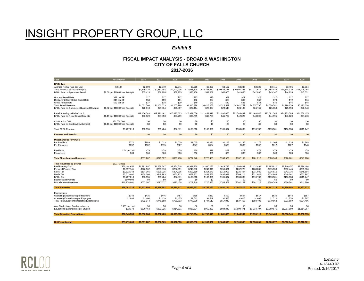#### *Exhibit 5*

| Year                                                                                                   | <b>Assumption</b>                               | 2026                               | 2027                               | 2028                               | 2029                                | 2030                                | 2031                                | 2032                                | 2033                                | 2034                                | 2035                                | 2036                                |
|--------------------------------------------------------------------------------------------------------|-------------------------------------------------|------------------------------------|------------------------------------|------------------------------------|-------------------------------------|-------------------------------------|-------------------------------------|-------------------------------------|-------------------------------------|-------------------------------------|-------------------------------------|-------------------------------------|
| <b>BPOL Tax</b>                                                                                        |                                                 |                                    |                                    |                                    |                                     |                                     |                                     |                                     |                                     |                                     |                                     |                                     |
| Average Rental Rate per Unit<br>Total Revenue (Gross Receipts)<br><b>BPOL Rate on Apartment Rental</b> | \$2,187<br>\$0.38 per \$100 Gross Receipts      | \$2,800<br>\$9,319,125<br>\$35.413 | \$2,870<br>\$9,552,103<br>\$36,298 | \$2.941<br>\$9,790,906<br>\$37,205 | \$3.015<br>\$10,035,678<br>\$38.136 | \$3.090<br>\$10,286,570<br>\$39.089 | \$3.167<br>\$10,543,735<br>\$40,066 | \$3.247<br>\$10,807,328<br>\$41,068 | \$3,328<br>\$11,077,511<br>\$42,095 | \$3.411<br>\$11,354,449<br>\$43.147 | \$3.496<br>\$11,638,310<br>\$44,226 | \$3,584<br>\$11,929,268<br>\$45,331 |
| Grocery Rental Rate<br>Restaurant/Other Retail Rental Rate<br>Office Rental Rate                       | \$27 per SF<br>\$45 per SF<br>\$29 per SF       | \$27<br>\$58<br>\$37               | \$27<br>\$59<br>\$38               | \$27<br>\$61<br>\$39               | \$27<br>\$62<br>\$40                | \$27<br>\$64<br>\$41                | \$27<br>\$65<br>\$42                | \$27<br>\$67<br>\$43                | \$27<br>\$68<br>\$44                | \$27<br>\$70<br>\$45                | \$27<br>\$72<br>\$46                | \$27<br>\$74<br>\$48                |
| <b>Total Rental Revenue</b><br>BPOL Rate on Commercial Landlord Revenue                                | \$0.52 per \$100 Gross Receipts                 | \$4,002,568<br>\$20,813            | \$4,102,633<br>\$21.334            | \$4,205,198<br>\$21,867            | \$4,310,328<br>\$22.414             | \$4,418,087<br>\$22,974             | \$4,528,539<br>\$23,548             | \$4,641,752<br>\$24.137             | \$4,757,796<br>\$24,741             | \$4,876,741<br>\$25,359             | \$4,998,659<br>\$25,993             | \$5,123,626<br>\$26,643             |
| Retail Spending in Falls Church<br><b>BPOL Rate on Retail Gross Receipts</b>                           | \$0.19 per \$100 Gross Receipts                 | \$19,436,548<br>\$36.929           | \$19,922,462<br>\$37.853           | \$20,420,523<br>\$38,799           | \$20,931,036<br>\$39,769            | \$21,454,312<br>\$40,763            | \$21,990,670<br>\$41,782            | \$22,540,437<br>\$42,827            | \$23,103,948<br>\$43,898            | \$23,681,546<br>\$44,995            | \$24,273,585<br>\$46,120            | \$24,880,425<br>\$47,273            |
| <b>Construction Cost</b><br>BPOL Rate on Building/Development                                          | \$84,000,000<br>\$0.16 per \$100 Gross Receipts | \$0<br>\$0                         | \$0<br>\$0                         | \$0<br>\$0                         | \$0<br>\$0                          | \$0<br>\$0                          | \$0<br>\$0                          | \$0<br>\$0                          | \$0<br>\$0                          | \$0<br>\$0                          | \$0<br>\$0                          | \$0<br>\$0                          |
| <b>Total BPOL Revenue</b>                                                                              | \$1,707,818                                     | \$93,155                           | \$95.484                           | \$97,871                           | \$100,318                           | \$102,826                           | \$105,397                           | \$108.032                           | \$110,733                           | \$113,501                           | \$116,338                           | \$119,247                           |
| <b>Licenses and Permits</b>                                                                            |                                                 | \$0                                | \$0                                | \$0                                | \$0                                 | \$0                                 | \$0                                 | \$0                                 | \$0                                 | \$0                                 | \$0                                 | \$0                                 |
| <b>Miscellaneous Revenues</b>                                                                          |                                                 |                                    |                                    |                                    |                                     |                                     |                                     |                                     |                                     |                                     |                                     |                                     |
| Per Resident                                                                                           | \$772                                           | \$989                              | \$1,013                            | \$1,039                            | \$1,065                             | \$1,091                             | \$1,118                             | \$1,146                             | \$1,175                             | \$1,204                             | \$1,235                             | \$1,265                             |
| Per Employee                                                                                           | \$392                                           | \$502                              | \$515                              | \$527                              | \$541                               | \$554                               | \$568                               | \$582                               | \$597                               | \$612                               | \$627                               | \$643                               |
| Residents<br>Employees                                                                                 | 1.64 per Unit<br>366                            | 479<br>366                         | 479<br>366                         | 479<br>366                         | 479<br>366                          | 479<br>366                          | 479<br>366                          | 479<br>366                          | 479<br>366                          | 479<br>366                          | 479<br>366                          | 479<br>366                          |
| <b>Total Miscellaneous Revenues</b>                                                                    |                                                 | \$657,207                          | \$673,637                          | \$690,478                          | \$707,740                           | \$725,433                           | \$743,569                           | \$762,159                           | \$781,212                           | \$800,743                           | \$820,761                           | \$841,280                           |
| <b>Total Revenues by Source</b>                                                                        | $(2017 - 2036)$                                 |                                    |                                    |                                    |                                     |                                     |                                     |                                     |                                     |                                     |                                     |                                     |
| <b>Real Property Tax</b>                                                                               | \$30,444,654                                    | \$1,793,997                        | \$1,838,847                        | \$1,884,818                        | \$1,931,939                         | \$1,980,237                         | \$2,029,743                         | \$2,080,487                         | \$2,132,499                         | \$2,185,812                         | \$2,240,457                         | \$2,296,468                         |
| Personal Property Tax                                                                                  | \$3,557,141                                     | \$226.162                          | \$231.816                          | \$237.611                          | \$243.552                           | \$249.640                           | \$255.881                           | \$262,278                           | \$268.835                           | \$275.556                           | \$282.445                           | \$289,506                           |
| Sales Tax                                                                                              | \$3,322,148                                     | \$194,365                          | \$199,225                          | \$204,205                          | \$209,310                           | \$214,543                           | \$219,907                           | \$225,404                           | \$231,039                           | \$236,815                           | \$242.736                           | \$248,804                           |
| Meals Tax                                                                                              | \$7,513,402                                     | \$439,008                          | \$449,983                          | \$461,233                          | \$472,763                           | \$484,582                           | \$496,697                           | \$509,114                           | \$521,842                           | \$534,888                           | \$548,261                           | \$561,967                           |
| <b>BPOL Tax</b>                                                                                        | \$1,707.818                                     | \$93,155                           | \$95,484                           | \$97.871                           | \$100,318                           | \$102,826                           | \$105,397                           | \$108,032                           | \$110,733                           | \$113,501                           | \$116,338                           | \$119,247                           |
| <b>Licenses and Permits</b>                                                                            | \$540,000                                       | \$0                                | \$0                                | \$0                                | \$0                                 | \$0                                 | \$0                                 | \$0                                 | \$0                                 | \$0                                 | \$0                                 | \$0                                 |
| Miscellaneous Revenues                                                                                 | \$10,978,061                                    | \$657.207                          | \$673,637                          | \$690.478                          | \$707.740                           | \$725,433                           | \$743.569                           | \$762.159                           | \$781,212                           | \$800.743                           | \$820,761                           | \$841.280                           |
| <b>Total Revenues</b>                                                                                  | \$58,063,225                                    | \$3.403.895                        | \$3.488.992                        | \$3.576.217                        | \$3,665,622                         | \$3.757.263                         | \$3.851.194                         | \$3.947.474                         | \$4.046.161                         | \$4.147.315                         | \$4.250.998                         | \$4,357,273                         |
|                                                                                                        |                                                 |                                    |                                    |                                    |                                     |                                     |                                     |                                     |                                     |                                     |                                     |                                     |
| Expenditures<br>Operating Expenditures per Resident                                                    | \$340                                           | \$435                              | \$446                              | \$457                              | \$468                               | \$480                               | \$492                               | \$504                               | \$517                               | \$530                               | \$543                               | \$557                               |
| Operating Expenditures per Employee                                                                    | \$1,096                                         | \$1,404                            | \$1,439                            | \$1,475                            | \$1,512                             | \$1,549                             | \$1,588                             | \$1,628                             | \$1,668                             | \$1,710                             | \$1,753                             | \$1,797                             |
| <b>Total Non-Educational Operating Expenditures</b>                                                    |                                                 | \$722,144                          | \$740,198                          | \$758,703                          | \$777.670                           | \$797,112                           | \$817,040                           | \$837.466                           | \$858,403                           | \$879,863                           | \$901,859                           | \$924,406                           |
| Avg. Students per Total Apartments                                                                     | 0.191 per Unit                                  | 56                                 | 56                                 | 56                                 | 56                                  | 56                                  | 56                                  | 56                                  | 56                                  | 56                                  | 56                                  | 56                                  |
| Educational Expenditures per Student                                                                   | \$12,170                                        | \$870,463                          | \$892,225                          | \$914,531                          | \$937,394                           | \$960,829                           | \$984,849                           | \$1,009,471                         | \$1,034,707                         | \$1,060,575                         | \$1,087,090                         | \$1,114,267                         |
| <b>Total Operating Expenditures</b>                                                                    | \$26.643.559                                    | \$1.592.608                        | \$1.632.423                        | \$1.673.233                        | \$1,715,064                         | \$1.757.941                         | \$1.801.889                         | \$1,846.937                         | \$1.893.110                         | \$1.940.438                         | \$1.988.949                         | \$2.038.673                         |
|                                                                                                        |                                                 |                                    |                                    |                                    |                                     |                                     |                                     |                                     |                                     |                                     |                                     |                                     |
| <b>Net Fiscal Impact</b>                                                                               | \$31.419.666                                    | \$1.811.287                        | \$1.856.569                        | \$1.902.983                        | \$1.950.558                         | \$1.999.322                         | \$2.049.305                         | \$2,100,538                         | \$2.153.051                         | \$2,206,877                         | \$2.262.049                         | \$2.318.601                         |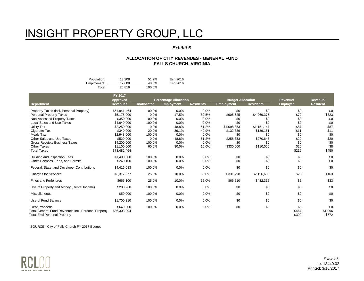#### *Exhibit 6*

#### **ALLOCATION OF CITY REVENUES - GENERAL FUND FALLS CHURCH, VIRGINIA**

| Population: | 13.208 | 51.2%  | Esri 2016 |
|-------------|--------|--------|-----------|
| Employment: | 12.608 | 48.8%  | Esri 2016 |
| Total       | 25.816 | 100.0% |           |

|                                                                                                                    | FY 2017<br><b>Approved</b> |                    | <b>Percentage Allocation</b> |                  | <b>Budget Allocation</b> |                  | Revenue/              | Revenue/                |
|--------------------------------------------------------------------------------------------------------------------|----------------------------|--------------------|------------------------------|------------------|--------------------------|------------------|-----------------------|-------------------------|
| Department                                                                                                         | <b>Revenues</b>            | <b>Unallocated</b> | <b>Employment</b>            | <b>Residents</b> | <b>Employment</b>        | <b>Residents</b> | <b>Employee</b>       | <b>Resident</b>         |
| Property Taxes (incl. Personal Property)                                                                           | \$51,941,464               | 100.0%             | 0.0%                         | 0.0%             | \$0                      | \$0              | \$0                   | \$0                     |
| Personal Property Taxes                                                                                            | \$5,175,000                | 0.0%               | 17.5%                        | 82.5%            | \$905,625                | \$4,269,375      | \$72                  | \$323                   |
| Non-Assessed Property Taxes                                                                                        | \$350.000                  | 100.0%             | 0.0%                         | 0.0%             | \$0                      | \$0              | \$0                   | \$0                     |
| <b>Local Sales and Use Taxes</b>                                                                                   | \$4,649,000                | 100.0%             | 0.0%                         | 0.0%             | \$0                      | \$0              | \$0                   | \$0                     |
| <b>Utility Tax</b>                                                                                                 | \$2,250,000                | 0.0%               | 48.8%                        | 51.2%            | \$1,098,853              | \$1,151,147      | \$87                  | \$87                    |
| Cigarette Tax                                                                                                      | \$340,000                  | 20.0%              | 39.1%                        | 40.9%            | \$132,839                | \$139,161        | \$11                  | \$11                    |
| Meals Tax                                                                                                          | \$2,948,000                | 100.0%             | 0.0%                         | 0.0%             | \$0                      | \$0              | \$0                   | \$0                     |
| Other Sales and Use Taxes                                                                                          | \$529,000                  | 0.0%               | 48.8%                        | 51.2%            | \$258,353                | \$270,647        | \$20                  | \$20                    |
| <b>Gross Receipts Business Taxes</b>                                                                               | \$4,200,000                | 100.0%             | 0.0%                         | 0.0%             | \$0                      | \$0              | \$0                   | \$0                     |
| <b>Other Taxes</b>                                                                                                 | \$1,100,000                | 60.0%              | 30.0%                        | 10.0%            | \$330,000                | \$110,000        | \$26                  | \$8                     |
| <b>Total Taxes</b>                                                                                                 | \$73,482,464               |                    |                              |                  |                          |                  | \$216                 | \$450                   |
| <b>Building and Inspection Fees</b>                                                                                | \$1,490,000                | 100.0%             | 0.0%                         | 0.0%             | \$0                      | \$0              | \$0                   | \$0                     |
| Other Licenses, Fees, and Permits                                                                                  | \$240,100                  | 100.0%             | 0.0%                         | 0.0%             | \$0                      | \$0              | \$0                   | \$0                     |
| Federal, State, and Developer Contributions                                                                        | \$4,416,083                | 100.0%             | 0.0%                         | 0.0%             | \$0                      | \$0              | \$0                   | \$0                     |
| <b>Charges for Services</b>                                                                                        | \$3,317,977                | 25.0%              | 10.0%                        | 65.0%            | \$331,798                | \$2,156,685      | \$26                  | \$163                   |
| <b>Fines and Forfeitures</b>                                                                                       | \$665,100                  | 25.0%              | 10.0%                        | 65.0%            | \$66,510                 | \$432,315        | \$5                   | \$33                    |
| Use of Property and Money (Rental Income)                                                                          | \$283,260                  | 100.0%             | 0.0%                         | 0.0%             | \$0                      | \$0              | \$0                   | \$0                     |
| Miscellaneous                                                                                                      | \$59,000                   | 100.0%             | 0.0%                         | 0.0%             | \$0                      | \$0              | \$0                   | \$0                     |
| Use of Fund Balance                                                                                                | \$1,700,310                | 100.0%             | 0.0%                         | 0.0%             | \$0                      | \$0              | \$0                   | \$0                     |
| <b>Debt Proceeds</b><br>Total General Fund Revenues Incl. Personal Property<br><b>Total Excl Personal Property</b> | \$649,000<br>\$86,303,294  | 100.0%             | 0.0%                         | 0.0%             | \$0                      | \$0              | \$0<br>\$464<br>\$392 | \$0<br>\$1,096<br>\$772 |

SOURCE: City of Falls Church FY 2017 Budget



*Exhibit 6* L4-13440.02 Printed: 3/16/2017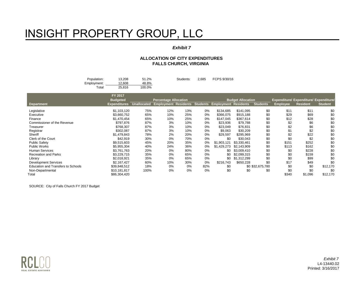#### *Exhibit 7*

#### **ALLOCATION OF CITY EXPENDITURES FALLS CHURCH, VIRGINIA**

| Population: | 13.208 | 51.2%  | Students: | 2.685 | FCPS 9/30/16 |
|-------------|--------|--------|-----------|-------|--------------|
| Employment: | 12.608 | 48.8%  |           |       |              |
| ™otal       | 25.816 | 100.0% |           |       |              |

|                                    | FY 2017             |                    |                              |     |                 |                             |                          |                  |                 |                                               |                |
|------------------------------------|---------------------|--------------------|------------------------------|-----|-----------------|-----------------------------|--------------------------|------------------|-----------------|-----------------------------------------------|----------------|
|                                    | <b>Budgeted</b>     |                    | <b>Percentage Allocation</b> |     |                 |                             | <b>Budget Allocation</b> |                  |                 | <b>Expenditure/ Expenditure/ Expenditure/</b> |                |
| <b>Department</b>                  | <b>Expenditures</b> | <b>Unallocated</b> | <b>Employment Residents</b>  |     | <b>Students</b> | <b>Employment Residents</b> |                          | <b>Students</b>  | <b>Employee</b> | <b>Resident</b>                               | <b>Student</b> |
| Legislative                        | \$1.103.120         | 75%                | 12%                          | 13% | 0%              | \$134.685                   | \$141.095                | \$0              | \$11            | \$11                                          | \$0            |
| Executive                          | \$3,660,752         | 65%                | 10%                          | 25% | 0%              | \$366,075                   | \$915,188                | \$0              | \$29            | \$69                                          | \$0            |
| Finance                            | \$1,470,454         | 65%                | 10%                          | 25% | 0%              | \$147,045                   | \$367,614                | \$0              | \$12            | \$28                                          | \$0            |
| Commissioner of the Revenue        | \$797,876           | 87%                | 3%                           | 10% | 0%              | \$23,936                    | \$79,788                 | \$0              | \$2             | \$6                                           | \$0            |
| Treasurer                          | \$768,307           | 87%                | 3%                           | 10% | 0%              | \$23,049                    | \$76,831                 | \$0              | \$2             | \$6                                           | \$0            |
| Registrar                          | \$302,087           | 87%                | 3%                           | 10% | 0%              | \$9,063                     | \$30,209                 | \$0              | \$1             | \$2                                           | \$0            |
| Sheriff                            | \$1.479.843         | 78%                | 2%                           | 20% | 0%              | \$29,597                    | \$295,969                | \$0              | \$2             | \$22                                          | \$0            |
| Clerk of the Court                 | \$42,919            | 30%                | 0%                           | 70% | 0%              | \$0                         | \$30,043                 | \$0              | \$0             | \$2                                           | \$0            |
| <b>Public Safety</b>               | \$9,515,603         | 45%                | 20%                          | 35% | 0%              | \$1.903.121                 | \$3,330,461              | \$0              | \$151           | \$252                                         | \$0            |
| Public Works                       | \$5,955,304         | 40%                | 24%                          | 36% | 0%              | \$1,429,273                 | \$2.143.909              | \$0              | \$113           | \$162                                         | \$0            |
| <b>Human Services</b>              | \$3,761,763         | 20%                | 0%                           | 80% | 0%              | \$0                         | \$3,009,410              | \$0              | \$0             | \$228                                         | \$0            |
| <b>Recreation and Parks</b>        | \$3,229,715         | 35%                | 0%                           | 65% | 0%              | \$0                         | \$2,099,315              | \$0              | \$0             | \$159                                         | \$0            |
| Library                            | \$2,018,921         | 35%                | 0%                           | 65% | 0%              | \$0                         | \$1,312,299              | \$0              | \$0             | \$99                                          | \$0            |
| <b>Development Services</b>        | \$2.167.427         | 60%                | 10%                          | 30% | 0%              | \$216,743                   | \$650,228                | \$0              | \$17            | \$49                                          | \$0            |
| Education and Transfers to Schools | \$39,848,512        | 18%                | 0%                           | 0%  | 82%             | \$0                         |                          | \$0 \$32,675,780 | \$0             | \$0                                           | \$12,170       |
| Non-Departmental                   | \$10.181.817        | 100%               | $0\%$                        | 0%  | 0%              | \$0                         | \$0                      | \$0              | \$0             | \$0                                           | \$0            |
| Total                              | \$86,304,420        |                    |                              |     |                 |                             |                          |                  | \$340           | \$1,096                                       | \$12,170       |

SOURCE: City of Falls Church FY 2017 Budget



*Exhibit 7* L4-13440.02 Printed: 3/16/2017